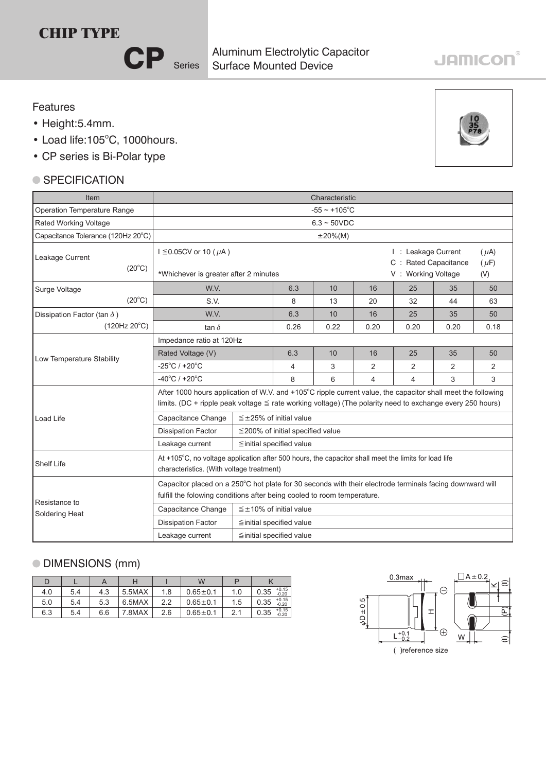## **CHIP TYPE**

CP Series

Surface Mounted Device Aluminum Electrolytic Capacitor

## Features

- Height:5.4mm.
- Load life:105°C, 1000hours.
- CP series is Bi-Polar type

## ● SPECIFICATION

| Item                               | Characteristic                                                                                                                                                                                                                 |                                        |                                                                                                    |                         |                |                |      |    |  |  |  |
|------------------------------------|--------------------------------------------------------------------------------------------------------------------------------------------------------------------------------------------------------------------------------|----------------------------------------|----------------------------------------------------------------------------------------------------|-------------------------|----------------|----------------|------|----|--|--|--|
| Operation Temperature Range        | $-55 \sim +105$ °C                                                                                                                                                                                                             |                                        |                                                                                                    |                         |                |                |      |    |  |  |  |
| Rated Working Voltage              | $6.3 - 50VDC$                                                                                                                                                                                                                  |                                        |                                                                                                    |                         |                |                |      |    |  |  |  |
| Capacitance Tolerance (120Hz 20°C) | $\pm 20\%$ (M)                                                                                                                                                                                                                 |                                        |                                                                                                    |                         |                |                |      |    |  |  |  |
| Leakage Current<br>$(20^{\circ}C)$ | $I \leq 0.05$ CV or 10 ( $\mu$ A)<br>*Whichever is greater after 2 minutes                                                                                                                                                     |                                        | I: Leakage Current<br>$(\mu A)$<br>C : Rated Capacitance<br>$(\mu F)$<br>V: Working Voltage<br>(V) |                         |                |                |      |    |  |  |  |
| Surge Voltage                      | W.V.                                                                                                                                                                                                                           |                                        | 6.3                                                                                                | 10                      | 16             | 25             | 35   | 50 |  |  |  |
| $(20^{\circ}C)$                    | S.V.                                                                                                                                                                                                                           | 8                                      | 13                                                                                                 | 20                      | 32             | 44             | 63   |    |  |  |  |
| Dissipation Factor (tan $\delta$ ) | W.V.                                                                                                                                                                                                                           |                                        | 6.3                                                                                                | 10                      | 16             | 25             | 35   | 50 |  |  |  |
| $(120Hz 20^{\circ}C)$              | tan $\delta$                                                                                                                                                                                                                   | 0.26                                   | 0.22                                                                                               | 0.20                    | 0.20           | 0.20           | 0.18 |    |  |  |  |
|                                    | Impedance ratio at 120Hz                                                                                                                                                                                                       |                                        |                                                                                                    |                         |                |                |      |    |  |  |  |
| Low Temperature Stability          | Rated Voltage (V)                                                                                                                                                                                                              | 6.3                                    | 10                                                                                                 | 16                      | 25             | 35             | 50   |    |  |  |  |
|                                    | $-25^{\circ}$ C / +20 $^{\circ}$ C                                                                                                                                                                                             | 4                                      | 3                                                                                                  | $\overline{2}$          | 2              | $\overline{2}$ | 2    |    |  |  |  |
|                                    | $-40^{\circ}$ C / +20 $^{\circ}$ C                                                                                                                                                                                             | 8                                      | 6                                                                                                  | $\overline{\mathbf{4}}$ | $\overline{4}$ | 3              | 3    |    |  |  |  |
|                                    | After 1000 hours application of W.V. and +105°C ripple current value, the capacitor shall meet the following<br>limits. (DC + ripple peak voltage $\leq$ rate working voltage) (The polarity need to exchange every 250 hours) |                                        |                                                                                                    |                         |                |                |      |    |  |  |  |
| Load Life                          | Capacitance Change                                                                                                                                                                                                             | $\leq$ ±25% of initial value           |                                                                                                    |                         |                |                |      |    |  |  |  |
|                                    | <b>Dissipation Factor</b>                                                                                                                                                                                                      | $\leq$ 200% of initial specified value |                                                                                                    |                         |                |                |      |    |  |  |  |
|                                    | Leakage current                                                                                                                                                                                                                | ≦initial specified value               |                                                                                                    |                         |                |                |      |    |  |  |  |
| <b>Shelf Life</b>                  | At +105°C, no voltage application after 500 hours, the capacitor shall meet the limits for load life<br>characteristics. (With voltage treatment)                                                                              |                                        |                                                                                                    |                         |                |                |      |    |  |  |  |
| Resistance to                      | Capacitor placed on a 250°C hot plate for 30 seconds with their electrode terminals facing downward will<br>fulfill the folowing conditions after being cooled to room temperature.                                            |                                        |                                                                                                    |                         |                |                |      |    |  |  |  |
| Soldering Heat                     | Capacitance Change<br>$\leq \pm 10\%$ of initial value                                                                                                                                                                         |                                        |                                                                                                    |                         |                |                |      |    |  |  |  |
|                                    | <b>Dissipation Factor</b>                                                                                                                                                                                                      |                                        | ≦initial specified value                                                                           |                         |                |                |      |    |  |  |  |
|                                    | Leakage current<br>$\leq$ initial specified value                                                                                                                                                                              |                                        |                                                                                                    |                         |                |                |      |    |  |  |  |

## DIMENSIONS (mm)

|     |     |     |        |     | W            |     |                            |  |
|-----|-----|-----|--------|-----|--------------|-----|----------------------------|--|
| 4.0 | 5.4 | 4.3 | 5.5MAX | 1.8 | $0.65 + 0.1$ | 1.0 | $+0.15$<br>0.35<br>$-0.20$ |  |
| 5.0 | 5.4 | 5.3 | 6.5MAX | າາ  | $0.65 + 0.1$ | 1.5 | $+0.15$<br>0.35<br>$-0.20$ |  |
| 6.3 | 5.4 | 6.6 | 7.8MAX | 2.6 | $0.65 + 0.1$ |     | $+0.15$<br>0.35<br>$-0.20$ |  |